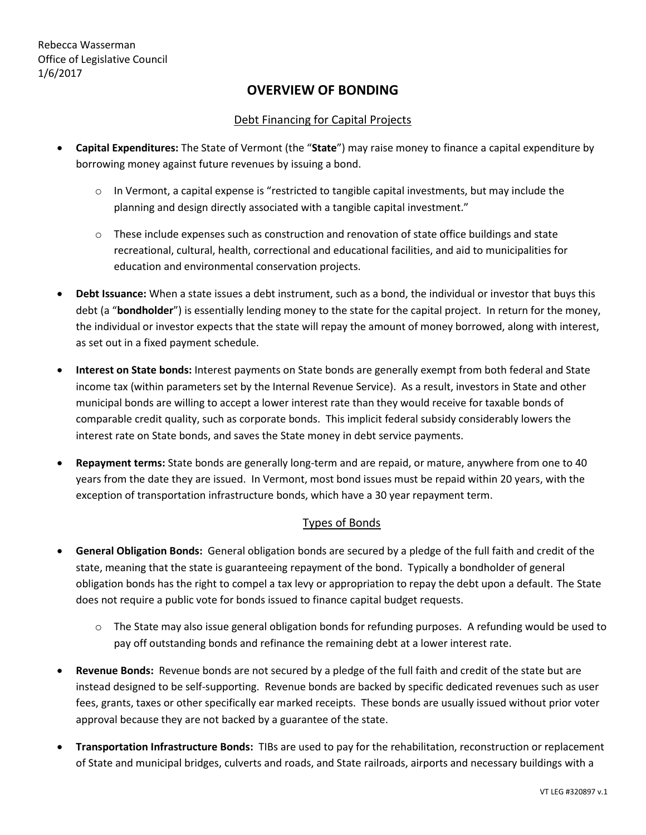# **OVERVIEW OF BONDING**

### Debt Financing for Capital Projects

- **Capital Expenditures:** The State of Vermont (the "**State**") may raise money to finance a capital expenditure by borrowing money against future revenues by issuing a bond.
	- $\circ$  In Vermont, a capital expense is "restricted to tangible capital investments, but may include the planning and design directly associated with a tangible capital investment."
	- $\circ$  These include expenses such as construction and renovation of state office buildings and state recreational, cultural, health, correctional and educational facilities, and aid to municipalities for education and environmental conservation projects.
- **Debt Issuance:** When a state issues a debt instrument, such as a bond, the individual or investor that buys this debt (a "**bondholder**") is essentially lending money to the state for the capital project. In return for the money, the individual or investor expects that the state will repay the amount of money borrowed, along with interest, as set out in a fixed payment schedule.
- **Interest on State bonds:** Interest payments on State bonds are generally exempt from both federal and State income tax (within parameters set by the Internal Revenue Service). As a result, investors in State and other municipal bonds are willing to accept a lower interest rate than they would receive for taxable bonds of comparable credit quality, such as corporate bonds. This implicit federal subsidy considerably lowers the interest rate on State bonds, and saves the State money in debt service payments.
- **Repayment terms:** State bonds are generally long-term and are repaid, or mature, anywhere from one to 40 years from the date they are issued. In Vermont, most bond issues must be repaid within 20 years, with the exception of transportation infrastructure bonds, which have a 30 year repayment term.

#### Types of Bonds

- **General Obligation Bonds:** General obligation bonds are secured by a pledge of the full faith and credit of the state, meaning that the state is guaranteeing repayment of the bond. Typically a bondholder of general obligation bonds has the right to compel a tax levy or appropriation to repay the debt upon a default. The State does not require a public vote for bonds issued to finance capital budget requests.
	- $\circ$  The State may also issue general obligation bonds for refunding purposes. A refunding would be used to pay off outstanding bonds and refinance the remaining debt at a lower interest rate.
- **Revenue Bonds:** Revenue bonds are not secured by a pledge of the full faith and credit of the state but are instead designed to be self-supporting. Revenue bonds are backed by specific dedicated revenues such as user fees, grants, taxes or other specifically ear marked receipts. These bonds are usually issued without prior voter approval because they are not backed by a guarantee of the state.
- **Transportation Infrastructure Bonds:** TIBs are used to pay for the rehabilitation, reconstruction or replacement of State and municipal bridges, culverts and roads, and State railroads, airports and necessary buildings with a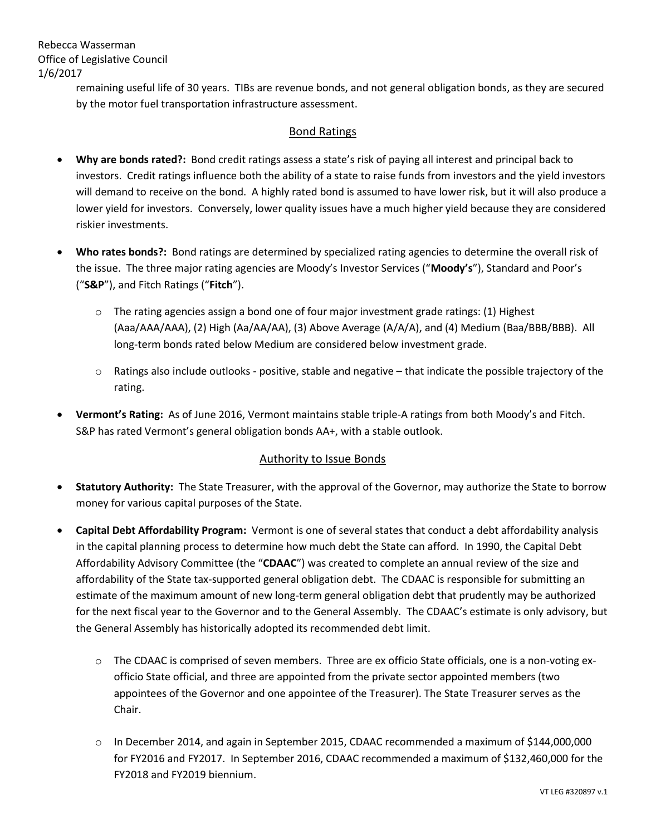Rebecca Wasserman Office of Legislative Council 1/6/2017

> remaining useful life of 30 years. TIBs are revenue bonds, and not general obligation bonds, as they are secured by the motor fuel transportation infrastructure assessment.

### Bond Ratings

- **Why are bonds rated?:** Bond credit ratings assess a state's risk of paying all interest and principal back to investors. Credit ratings influence both the ability of a state to raise funds from investors and the yield investors will demand to receive on the bond. A highly rated bond is assumed to have lower risk, but it will also produce a lower yield for investors. Conversely, lower quality issues have a much higher yield because they are considered riskier investments.
- **Who rates bonds?:** Bond ratings are determined by specialized rating agencies to determine the overall risk of the issue. The three major rating agencies are Moody's Investor Services ("**Moody's**"), Standard and Poor's ("**S&P**"), and Fitch Ratings ("**Fitch**").
	- o The rating agencies assign a bond one of four major investment grade ratings: (1) Highest (Aaa/AAA/AAA), (2) High (Aa/AA/AA), (3) Above Average (A/A/A), and (4) Medium (Baa/BBB/BBB). All long-term bonds rated below Medium are considered below investment grade.
	- $\circ$  Ratings also include outlooks positive, stable and negative that indicate the possible trajectory of the rating.
- **Vermont's Rating:** As of June 2016, Vermont maintains stable triple-A ratings from both Moody's and Fitch. S&P has rated Vermont's general obligation bonds AA+, with a stable outlook.

### Authority to Issue Bonds

- **Statutory Authority:** The State Treasurer, with the approval of the Governor, may authorize the State to borrow money for various capital purposes of the State.
- **Capital Debt Affordability Program:** Vermont is one of several states that conduct a debt affordability analysis in the capital planning process to determine how much debt the State can afford. In 1990, the Capital Debt Affordability Advisory Committee (the "**CDAAC**") was created to complete an annual review of the size and affordability of the State tax-supported general obligation debt. The CDAAC is responsible for submitting an estimate of the maximum amount of new long-term general obligation debt that prudently may be authorized for the next fiscal year to the Governor and to the General Assembly. The CDAAC's estimate is only advisory, but the General Assembly has historically adopted its recommended debt limit.
	- o The CDAAC is comprised of seven members. Three are ex officio State officials, one is a non-voting exofficio State official, and three are appointed from the private sector appointed members (two appointees of the Governor and one appointee of the Treasurer). The State Treasurer serves as the Chair.
	- o In December 2014, and again in September 2015, CDAAC recommended a maximum of \$144,000,000 for FY2016 and FY2017. In September 2016, CDAAC recommended a maximum of \$132,460,000 for the FY2018 and FY2019 biennium.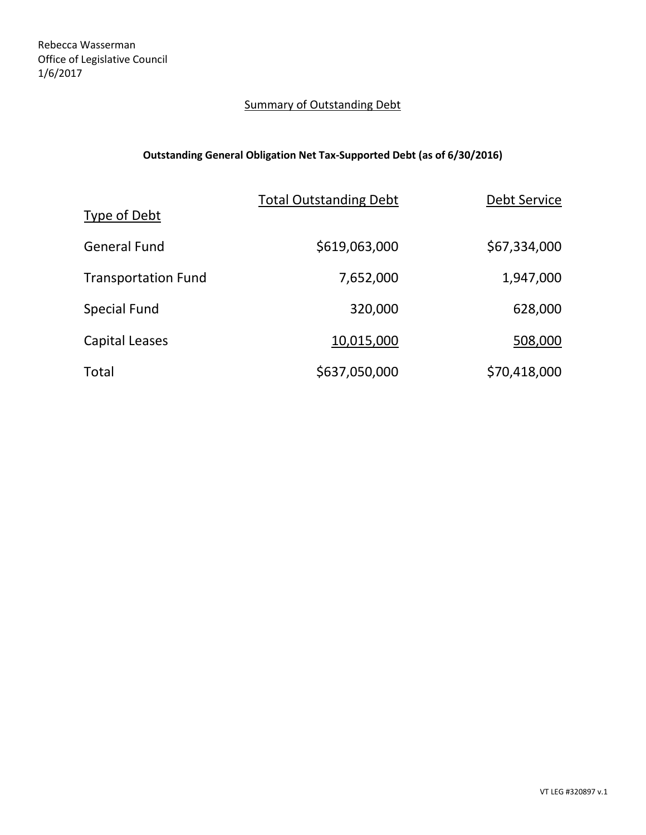# **Summary of Outstanding Debt**

# **Outstanding General Obligation Net Tax-Supported Debt (as of 6/30/2016)**

|                            | <b>Total Outstanding Debt</b> | <b>Debt Service</b> |
|----------------------------|-------------------------------|---------------------|
| Type of Debt               |                               |                     |
| <b>General Fund</b>        | \$619,063,000                 | \$67,334,000        |
| <b>Transportation Fund</b> | 7,652,000                     | 1,947,000           |
| Special Fund               | 320,000                       | 628,000             |
| Capital Leases             | 10,015,000                    | 508,000             |
| Total                      | \$637,050,000                 | \$70,418,000        |